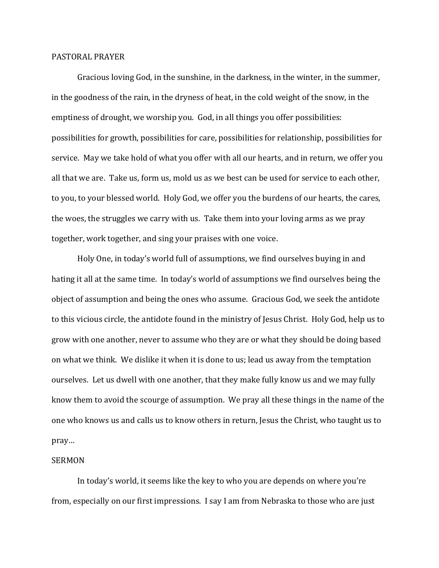## PASTORAL PRAYER

Gracious loving God, in the sunshine, in the darkness, in the winter, in the summer, in the goodness of the rain, in the dryness of heat, in the cold weight of the snow, in the emptiness of drought, we worship you. God, in all things you offer possibilities: possibilities for growth, possibilities for care, possibilities for relationship, possibilities for service. May we take hold of what you offer with all our hearts, and in return, we offer you all that we are. Take us, form us, mold us as we best can be used for service to each other, to you, to your blessed world. Holy God, we offer you the burdens of our hearts, the cares, the woes, the struggles we carry with us. Take them into your loving arms as we pray together, work together, and sing your praises with one voice.

Holy One, in today's world full of assumptions, we find ourselves buying in and hating it all at the same time. In today's world of assumptions we find ourselves being the object of assumption and being the ones who assume. Gracious God, we seek the antidote to this vicious circle, the antidote found in the ministry of Jesus Christ. Holy God, help us to grow with one another, never to assume who they are or what they should be doing based on what we think. We dislike it when it is done to us; lead us away from the temptation ourselves. Let us dwell with one another, that they make fully know us and we may fully know them to avoid the scourge of assumption. We pray all these things in the name of the one who knows us and calls us to know others in return, Jesus the Christ, who taught us to pray…

## **SERMON**

In today's world, it seems like the key to who you are depends on where you're from, especially on our first impressions. I say I am from Nebraska to those who are just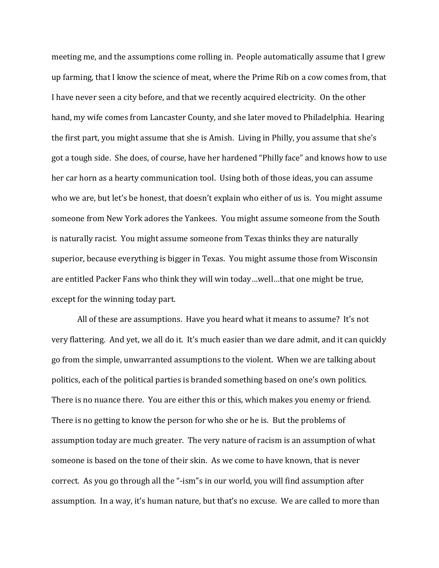meeting me, and the assumptions come rolling in. People automatically assume that I grew up farming, that I know the science of meat, where the Prime Rib on a cow comes from, that I have never seen a city before, and that we recently acquired electricity. On the other hand, my wife comes from Lancaster County, and she later moved to Philadelphia. Hearing the first part, you might assume that she is Amish. Living in Philly, you assume that she's got a tough side. She does, of course, have her hardened "Philly face" and knows how to use her car horn as a hearty communication tool. Using both of those ideas, you can assume who we are, but let's be honest, that doesn't explain who either of us is. You might assume someone from New York adores the Yankees. You might assume someone from the South is naturally racist. You might assume someone from Texas thinks they are naturally superior, because everything is bigger in Texas. You might assume those from Wisconsin are entitled Packer Fans who think they will win today…well…that one might be true, except for the winning today part.

All of these are assumptions. Have you heard what it means to assume? It's not very flattering. And yet, we all do it. It's much easier than we dare admit, and it can quickly go from the simple, unwarranted assumptions to the violent. When we are talking about politics, each of the political parties is branded something based on one's own politics. There is no nuance there. You are either this or this, which makes you enemy or friend. There is no getting to know the person for who she or he is. But the problems of assumption today are much greater. The very nature of racism is an assumption of what someone is based on the tone of their skin. As we come to have known, that is never correct. As you go through all the "-ism"s in our world, you will find assumption after assumption. In a way, it's human nature, but that's no excuse. We are called to more than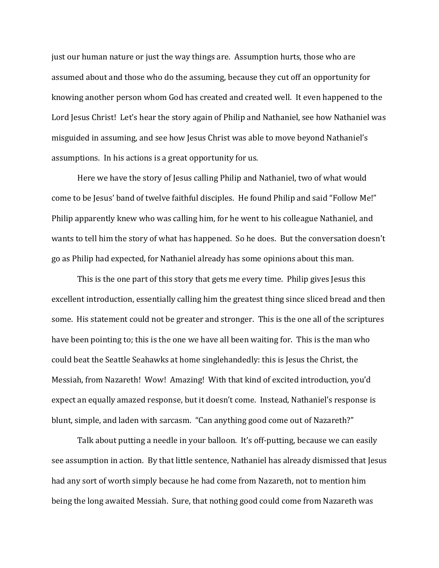just our human nature or just the way things are. Assumption hurts, those who are assumed about and those who do the assuming, because they cut off an opportunity for knowing another person whom God has created and created well. It even happened to the Lord Jesus Christ! Let's hear the story again of Philip and Nathaniel, see how Nathaniel was misguided in assuming, and see how Jesus Christ was able to move beyond Nathaniel's assumptions. In his actions is a great opportunity for us.

Here we have the story of Jesus calling Philip and Nathaniel, two of what would come to be Jesus' band of twelve faithful disciples. He found Philip and said "Follow Me!" Philip apparently knew who was calling him, for he went to his colleague Nathaniel, and wants to tell him the story of what has happened. So he does. But the conversation doesn't go as Philip had expected, for Nathaniel already has some opinions about this man.

This is the one part of this story that gets me every time. Philip gives Jesus this excellent introduction, essentially calling him the greatest thing since sliced bread and then some. His statement could not be greater and stronger. This is the one all of the scriptures have been pointing to; this is the one we have all been waiting for. This is the man who could beat the Seattle Seahawks at home singlehandedly: this is Jesus the Christ, the Messiah, from Nazareth! Wow! Amazing! With that kind of excited introduction, you'd expect an equally amazed response, but it doesn't come. Instead, Nathaniel's response is blunt, simple, and laden with sarcasm. "Can anything good come out of Nazareth?"

Talk about putting a needle in your balloon. It's off-putting, because we can easily see assumption in action. By that little sentence, Nathaniel has already dismissed that Jesus had any sort of worth simply because he had come from Nazareth, not to mention him being the long awaited Messiah. Sure, that nothing good could come from Nazareth was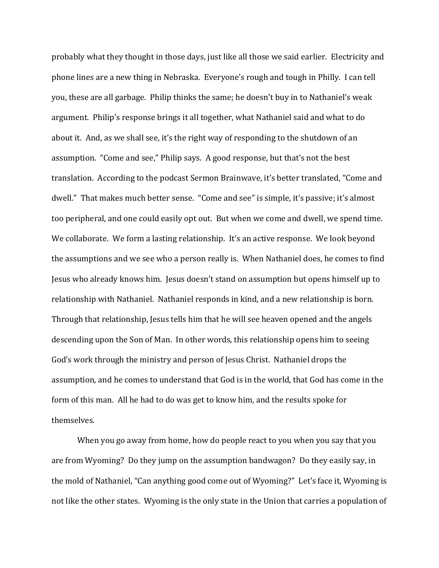probably what they thought in those days, just like all those we said earlier. Electricity and phone lines are a new thing in Nebraska. Everyone's rough and tough in Philly. I can tell you, these are all garbage. Philip thinks the same; he doesn't buy in to Nathaniel's weak argument. Philip's response brings it all together, what Nathaniel said and what to do about it. And, as we shall see, it's the right way of responding to the shutdown of an assumption. "Come and see," Philip says. A good response, but that's not the best translation. According to the podcast Sermon Brainwave, it's better translated, "Come and dwell." That makes much better sense. "Come and see" is simple, it's passive; it's almost too peripheral, and one could easily opt out. But when we come and dwell, we spend time. We collaborate. We form a lasting relationship. It's an active response. We look beyond the assumptions and we see who a person really is. When Nathaniel does, he comes to find Jesus who already knows him. Jesus doesn't stand on assumption but opens himself up to relationship with Nathaniel. Nathaniel responds in kind, and a new relationship is born. Through that relationship, Jesus tells him that he will see heaven opened and the angels descending upon the Son of Man. In other words, this relationship opens him to seeing God's work through the ministry and person of Jesus Christ. Nathaniel drops the assumption, and he comes to understand that God is in the world, that God has come in the form of this man. All he had to do was get to know him, and the results spoke for themselves.

When you go away from home, how do people react to you when you say that you are from Wyoming? Do they jump on the assumption bandwagon? Do they easily say, in the mold of Nathaniel, "Can anything good come out of Wyoming?" Let's face it, Wyoming is not like the other states. Wyoming is the only state in the Union that carries a population of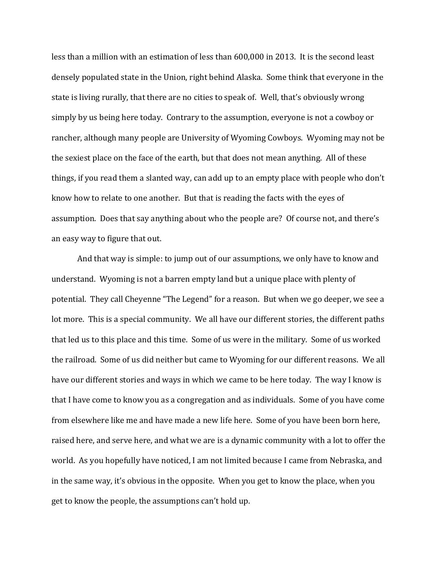less than a million with an estimation of less than 600,000 in 2013. It is the second least densely populated state in the Union, right behind Alaska. Some think that everyone in the state is living rurally, that there are no cities to speak of. Well, that's obviously wrong simply by us being here today. Contrary to the assumption, everyone is not a cowboy or rancher, although many people are University of Wyoming Cowboys. Wyoming may not be the sexiest place on the face of the earth, but that does not mean anything. All of these things, if you read them a slanted way, can add up to an empty place with people who don't know how to relate to one another. But that is reading the facts with the eyes of assumption. Does that say anything about who the people are? Of course not, and there's an easy way to figure that out.

And that way is simple: to jump out of our assumptions, we only have to know and understand. Wyoming is not a barren empty land but a unique place with plenty of potential. They call Cheyenne "The Legend" for a reason. But when we go deeper, we see a lot more. This is a special community. We all have our different stories, the different paths that led us to this place and this time. Some of us were in the military. Some of us worked the railroad. Some of us did neither but came to Wyoming for our different reasons. We all have our different stories and ways in which we came to be here today. The way I know is that I have come to know you as a congregation and as individuals. Some of you have come from elsewhere like me and have made a new life here. Some of you have been born here, raised here, and serve here, and what we are is a dynamic community with a lot to offer the world. As you hopefully have noticed, I am not limited because I came from Nebraska, and in the same way, it's obvious in the opposite. When you get to know the place, when you get to know the people, the assumptions can't hold up.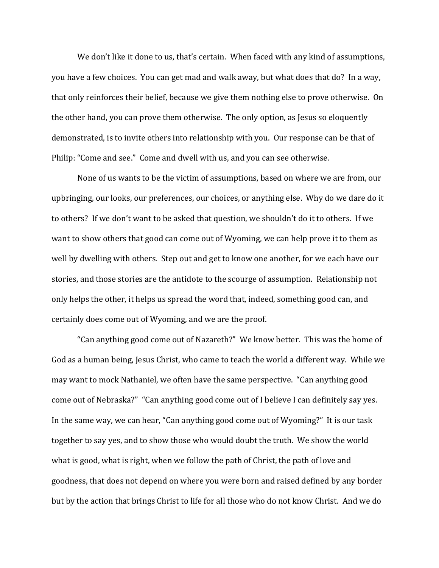We don't like it done to us, that's certain. When faced with any kind of assumptions, you have a few choices. You can get mad and walk away, but what does that do? In a way, that only reinforces their belief, because we give them nothing else to prove otherwise. On the other hand, you can prove them otherwise. The only option, as Jesus so eloquently demonstrated, is to invite others into relationship with you. Our response can be that of Philip: "Come and see." Come and dwell with us, and you can see otherwise.

None of us wants to be the victim of assumptions, based on where we are from, our upbringing, our looks, our preferences, our choices, or anything else. Why do we dare do it to others? If we don't want to be asked that question, we shouldn't do it to others. If we want to show others that good can come out of Wyoming, we can help prove it to them as well by dwelling with others. Step out and get to know one another, for we each have our stories, and those stories are the antidote to the scourge of assumption. Relationship not only helps the other, it helps us spread the word that, indeed, something good can, and certainly does come out of Wyoming, and we are the proof.

"Can anything good come out of Nazareth?" We know better. This was the home of God as a human being, Jesus Christ, who came to teach the world a different way. While we may want to mock Nathaniel, we often have the same perspective. "Can anything good come out of Nebraska?" "Can anything good come out of I believe I can definitely say yes. In the same way, we can hear, "Can anything good come out of Wyoming?" It is our task together to say yes, and to show those who would doubt the truth. We show the world what is good, what is right, when we follow the path of Christ, the path of love and goodness, that does not depend on where you were born and raised defined by any border but by the action that brings Christ to life for all those who do not know Christ. And we do